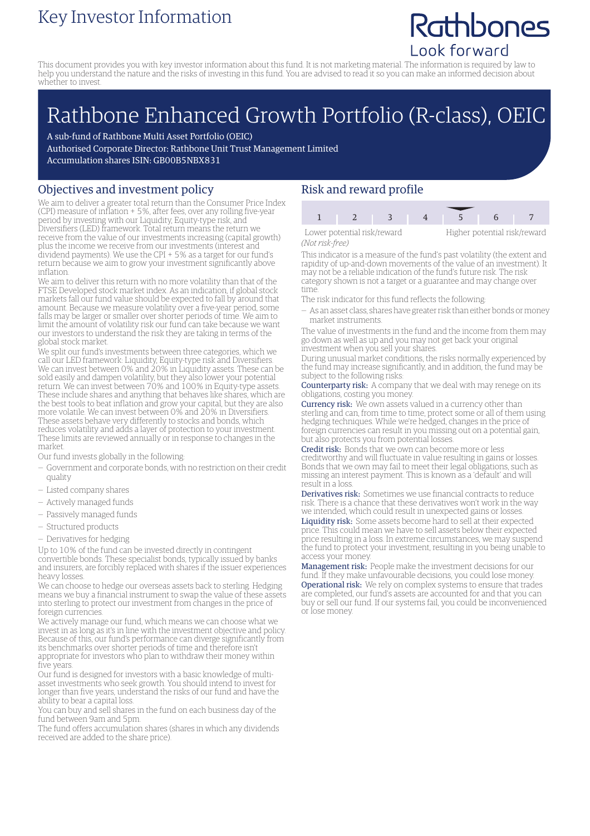### Key Investor Information

## Rathbones Look forward

This document provides you with key investor information about this fund. It is not marketing material. The information is required by law to help you understand the nature and the risks of investing in this fund. You are advised to read it so you can make an informed decision about whether to invest.

# Rathbone Enhanced Growth Portfolio (R-class), OEIC

A sub-fund of Rathbone Multi Asset Portfolio (OEIC) Authorised Corporate Director: Rathbone Unit Trust Management Limited Accumulation shares ISIN: GB00B5NBX831

#### Objectives and investment policy

We aim to deliver a greater total return than the Consumer Price Index (CPI) measure of inflation + 5%, after fees, over any rolling five-year period by investing with our Liquidity, Equity-type risk, and Diversifiers (LED) framework. Total return means the return we receive from the value of our investments increasing (capital growth) plus the income we receive from our investments (interest and dividend payments). We use the CPI + 5% as a target for our fund's return because we aim to grow your investment significantly above inflation.

We aim to deliver this return with no more volatility than that of the FTSE Developed stock market index. As an indication, if global stock markets fall our fund value should be expected to fall by around that amount. Because we measure volatility over a five-year period, some falls may be larger or smaller over shorter periods of time. We aim to limit the amount of volatility risk our fund can take because we want our investors to understand the risk they are taking in terms of the global stock market.

We split our fund's investments between three categories, which we call our LED framework: Liquidity, Equity-type risk and Diversifiers. We can invest between 0% and 20% in Liquidity assets. These can be sold easily and dampen volatility, but they also lower your potential return. We can invest between 70% and 100% in Equity-type assets. These include shares and anything that behaves like shares, which are the best tools to beat inflation and grow your capital, but they are also more volatile. We can invest between 0% and 20% in Diversifiers. These assets behave very differently to stocks and bonds, which reduces volatility and adds a layer of protection to your investment. These limits are reviewed annually or in response to changes in the market.

Our fund invests globally in the following:

- Government and corporate bonds, with no restriction on their credit quality
- Listed company shares
- Actively managed funds
- Passively managed funds
- Structured products
- Derivatives for hedging

Up to 10% of the fund can be invested directly in contingent convertible bonds. These specialist bonds, typically issued by banks and insurers, are forcibly replaced with shares if the issuer experiences heavy losses.

We can choose to hedge our overseas assets back to sterling. Hedging means we buy a financial instrument to swap the value of these assets into sterling to protect our investment from changes in the price of foreign currencies.

We actively manage our fund, which means we can choose what we invest in as long as it's in line with the investment objective and policy. Because of this, our fund's performance can diverge significantly from its benchmarks over shorter periods of time and therefore isn't appropriate for investors who plan to withdraw their money within five years.

Our fund is designed for investors with a basic knowledge of multiasset investments who seek growth. You should intend to invest for longer than five years, understand the risks of our fund and have the ability to bear a capital loss.

You can buy and sell shares in the fund on each business day of the fund between 9am and 5pm.

The fund offers accumulation shares (shares in which any dividends received are added to the share price).

### Risk and reward profile

Lower potential risk/reward Higher potential risk/reward *(Not risk-free)*

1 2 3 4 5 6

This indicator is a measure of the fund's past volatility (the extent and rapidity of up-and-down movements of the value of an investment). It may not be a reliable indication of the fund's future risk. The risk category shown is not a target or a guarantee and may change over time.

The risk indicator for this fund reflects the following:

— As an asset class, shares have greater risk than either bonds ormoney market instruments.

The value of investments in the fund and the income from them may go down as well as up and you may not get back your original investment when you sell your shares.

During unusual market conditions, the risks normally experienced by the fund may increase significantly, and in addition, the fund may be subject to the following risks:

Counterparty risk: A company that we deal with may renege on its obligations, costing you money.

Currency risk: We own assets valued in a currency other than sterling and can, from time to time, protect some or all of them using hedging techniques. While we're hedged, changes in the price of foreign currencies can result in you missing out on a potential gain, but also protects you from potential losses.

Credit risk: Bonds that we own can become more or less creditworthy and will fluctuate in value resulting in gains or losses. Bonds that we own may fail to meet their legal obligations, such as missing an interest payment. This is known as a 'default' and will result in a loss.

Derivatives risk: Sometimes we use financial contracts to reduce risk. There is a chance that these derivatives won't work in the way we intended, which could result in unexpected gains or losses. Liquidity risk: Some assets become hard to sell at their expected price. This could mean we have to sell assets below their expected price resulting in a loss. In extreme circumstances, we may suspend the fund to protect your investment, resulting in you being unable to access your money.

Management risk: People make the investment decisions for our fund. If they make unfavourable decisions, you could lose money. Operational risk: We rely on complex systems to ensure that trades are completed, our fund's assets are accounted for and that you can buy or sell our fund. If our systems fail, you could be inconvenienced or lose money.